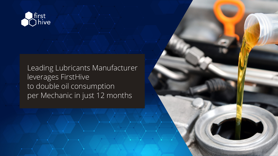

Leading Lubricants Manufacturer leverages FirstHive to double oil consumption per Mechanic in just 12 months

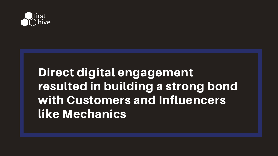

# Direct digital engagement resulted in building a strong bond with Customers and Influencers like Mechanics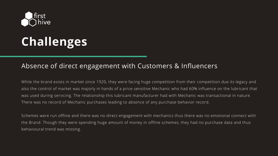

## **Challenges**

#### Absence of direct engagement with Customers & Influencers

While the brand exists in market since 1920, they were facing huge competition from their competition due its legacy and also the control of market was majorly in hands of a price sensitive Mechanic who had 60% influence on the lubricant that was used during servicing. The relationship this lubricant manufacturer had with Mechanic was transactional in nature. There was no record of Mechanic purchases leading to absence of any purchase behavior record.

Schemes were run offline and there was no direct engagement with mechanics thus there was no emotional connect with the Brand. Though they were spending huge amount of money in offline schemes, they had no purchase data and thus behavioural trend was missing.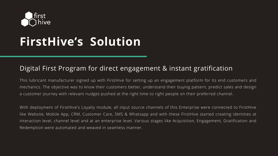

# **FirstHive's Solution**

#### Digital First Program for direct engagement & instant gratification

This lubricant manufacturer signed up with FirstHive for setting up an engagement platform for its end customers and mechanics. The objective was to know their customers better, understand their buying pattern, predict sales and design a customer journey with relevant nudges pushed at the right time to right people on their preferred channel.

With deployment of FirstHive's Loyalty module, all input source channels of this Enterprise were connected to FirstHive like Website, Mobile App, CRM, Customer Care, SMS & Whatsapp and with these FirstHive started creating identities at interaction level, channel level and at an enterprise level. Various stages like Acquisition, Engagement, Gratification and Redemption were automated and weaved in seamless manner.